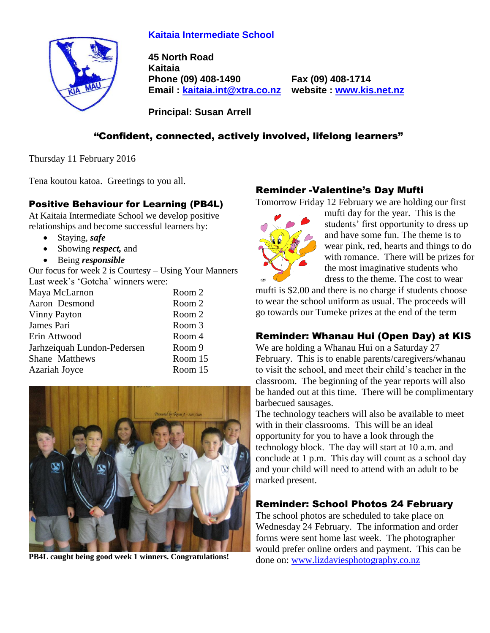# **Kaitaia Intermediate School**



**45 North Road Kaitaia Phone (09) 408-1490 Fax (09) 408-1714 Email : [kaitaia.int@xtra.co.nz](mailto:kaitaia.int@xtra.co.nz) website : [www.kis.net.nz](file:///C:/Documents%20and%20Settings/Principal/Desktop/Kelvin%201/Letterhead%20-%20Kelvin/www.kis.net.nz)**

**Principal: Susan Arrell**

# "Confident, connected, actively involved, lifelong learners"

Thursday 11 February 2016

Tena koutou katoa. Greetings to you all.

## Positive Behaviour for Learning (PB4L)

At Kaitaia Intermediate School we develop positive relationships and become successful learners by:

- Staying, *safe*
- Showing *respect*, and
- Being *responsible*

Our focus for week 2 is Courtesy – Using Your Manners Last week's 'Gotcha' winners were:

| Maya McLarnon               | Room 2  |
|-----------------------------|---------|
| Aaron Desmond               | Room 2  |
| Vinny Payton                | Room 2  |
| James Pari                  | Room 3  |
| Erin Attwood                | Room 4  |
| Jarhzeiquah Lundon-Pedersen | Room 9  |
| Shane Matthews              | Room 15 |
| Azariah Joyce               | Room 15 |



**PB4L caught being good week 1 winners. Congratulations!**

# Reminder -Valentine's Day Mufti

Tomorrow Friday 12 February we are holding our first



mufti day for the year. This is the students' first opportunity to dress up and have some fun. The theme is to wear pink, red, hearts and things to do with romance. There will be prizes for the most imaginative students who dress to the theme. The cost to wear

mufti is \$2.00 and there is no charge if students choose to wear the school uniform as usual. The proceeds will go towards our Tumeke prizes at the end of the term

# Reminder: Whanau Hui (Open Day) at KIS

We are holding a Whanau Hui on a Saturday 27 February. This is to enable parents/caregivers/whanau to visit the school, and meet their child's teacher in the classroom. The beginning of the year reports will also be handed out at this time. There will be complimentary barbecued sausages.

The technology teachers will also be available to meet with in their classrooms. This will be an ideal opportunity for you to have a look through the technology block. The day will start at 10 a.m. and conclude at 1 p.m. This day will count as a school day and your child will need to attend with an adult to be marked present.

# Reminder: School Photos 24 February

The school photos are scheduled to take place on Wednesday 24 February. The information and order forms were sent home last week. The photographer would prefer online orders and payment. This can be done on: [www.lizdaviesphotography.co.nz](http://www.lizdaviesphotography.co.nz/)